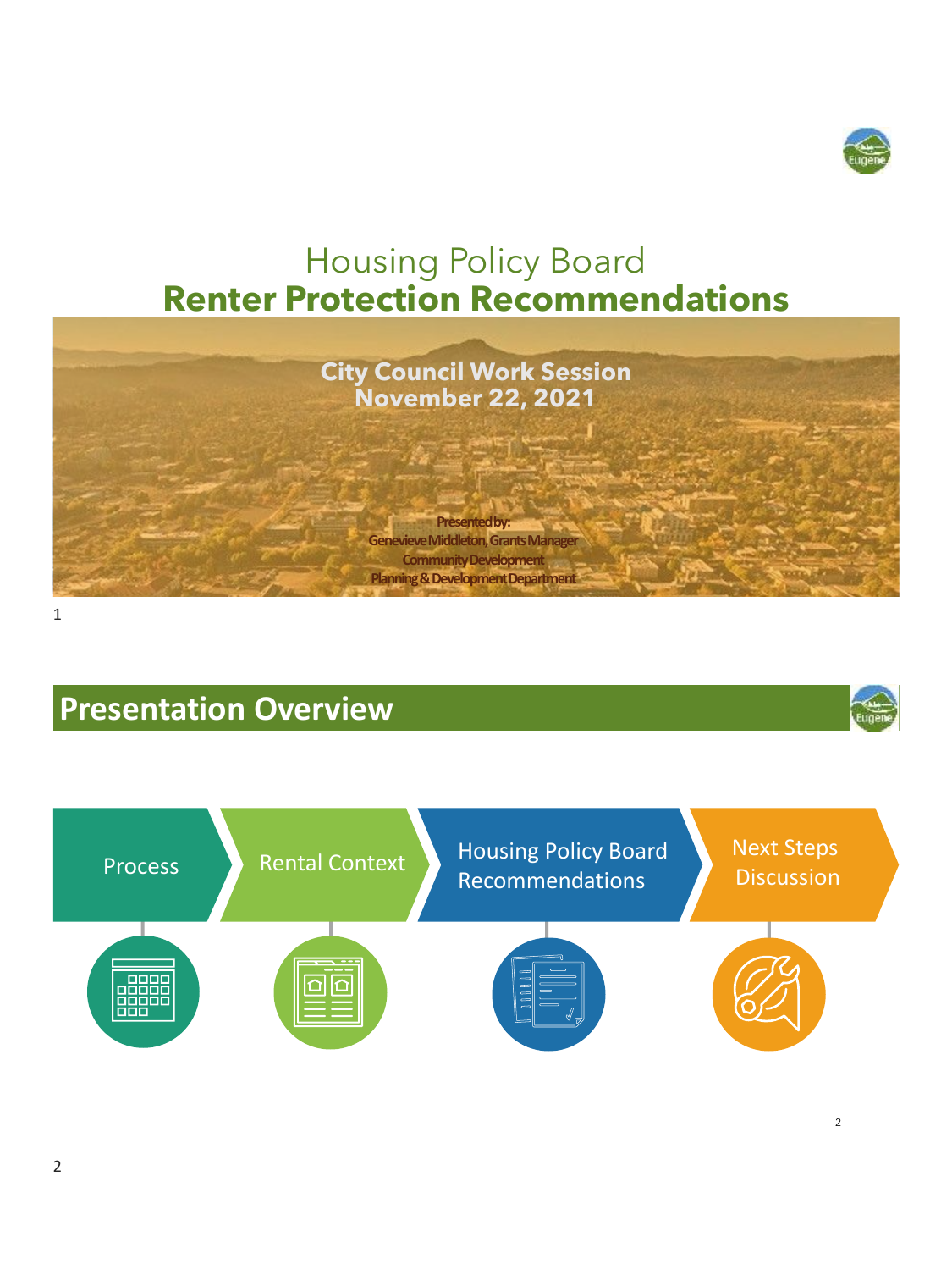

## Housing Policy Board **Renter Protection Recommendations**



1

### **Presentation Overview**



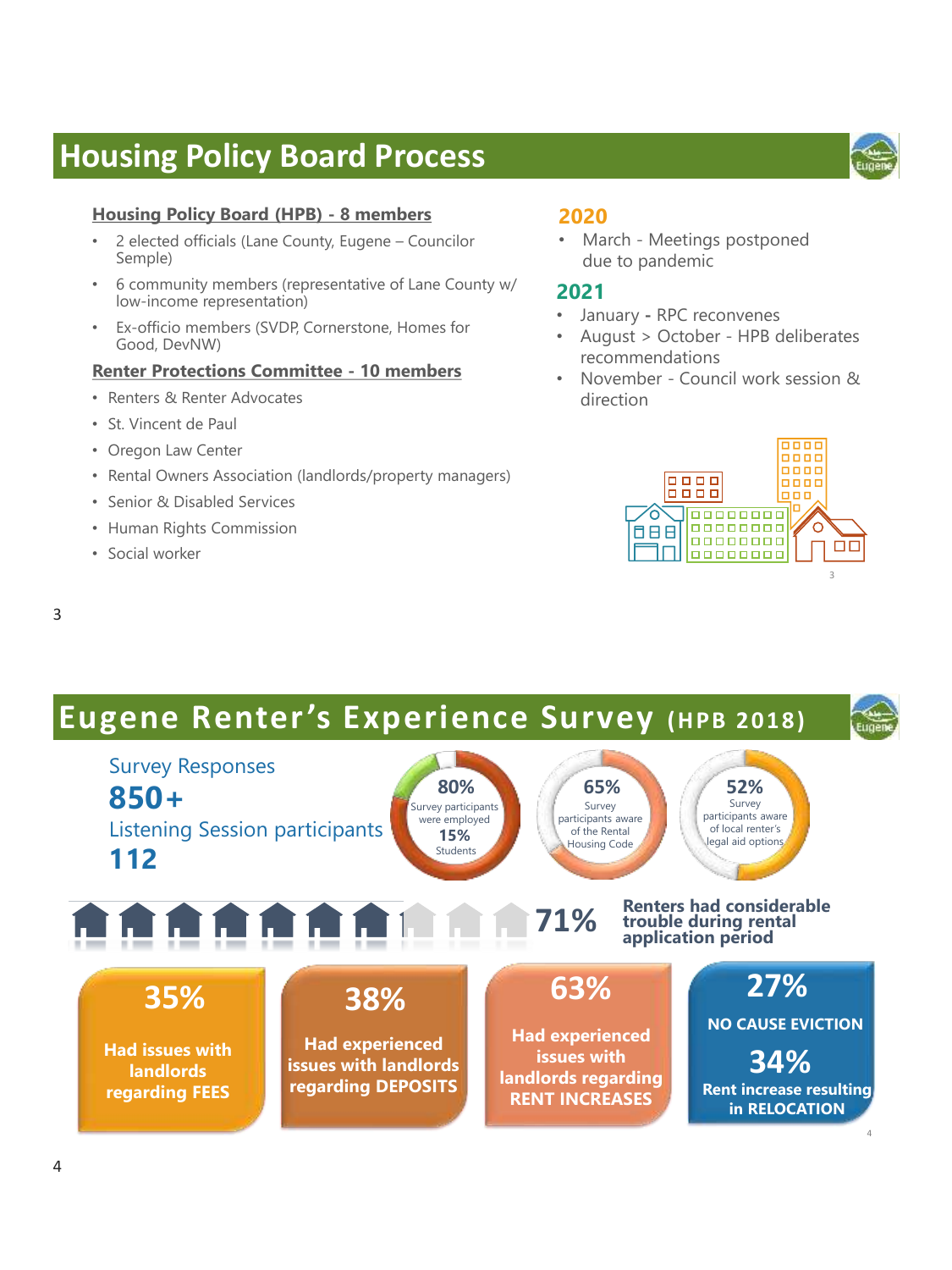### **Housing Policy Board Process**

#### **Housing Policy Board (HPB) - 8 members**

- 2 elected officials (Lane County, Eugene Councilor Semple)
- 6 community members (representative of Lane County w/ low-income representation)
- Ex-officio members (SVDP, Cornerstone, Homes for Good, DevNW)

#### **Renter Protections Committee - 10 members**

- Renters & Renter Advocates
- St. Vincent de Paul
- Oregon Law Center
- Rental Owners Association (landlords/property managers)
- Senior & Disabled Services
- Human Rights Commission
- Social worker

#### **2020**

• March - Meetings postponed due to pandemic

#### **2021**

- January **-** RPC reconvenes
- August > October HPB deliberates recommendations
- November Council work session & direction

![](_page_1_Picture_19.jpeg)

#### 3

### **Eugene Renter's Experience Survey (HPB 2018)**

![](_page_1_Figure_22.jpeg)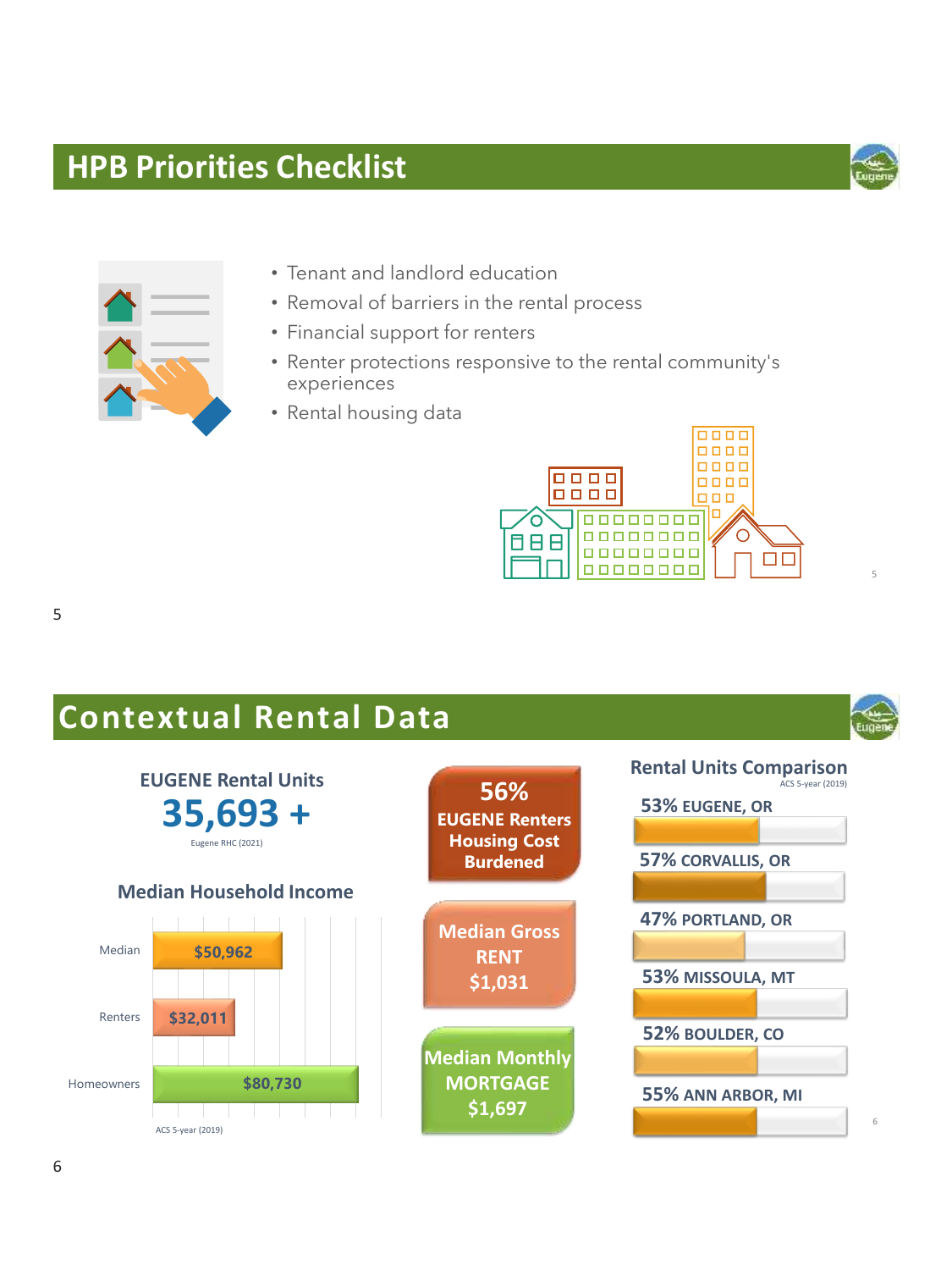### **HPB Priorities Checklist 5 Priorities**

![](_page_2_Picture_1.jpeg)

- Tenant and landlord education
- Removal of barriers in the rental process
- Financial support for renters
- Renter protections responsive to the rental community's experiences
- Rental housing data

![](_page_2_Picture_7.jpeg)

5

5

# **Contextual Rental Data**

![](_page_2_Figure_10.jpeg)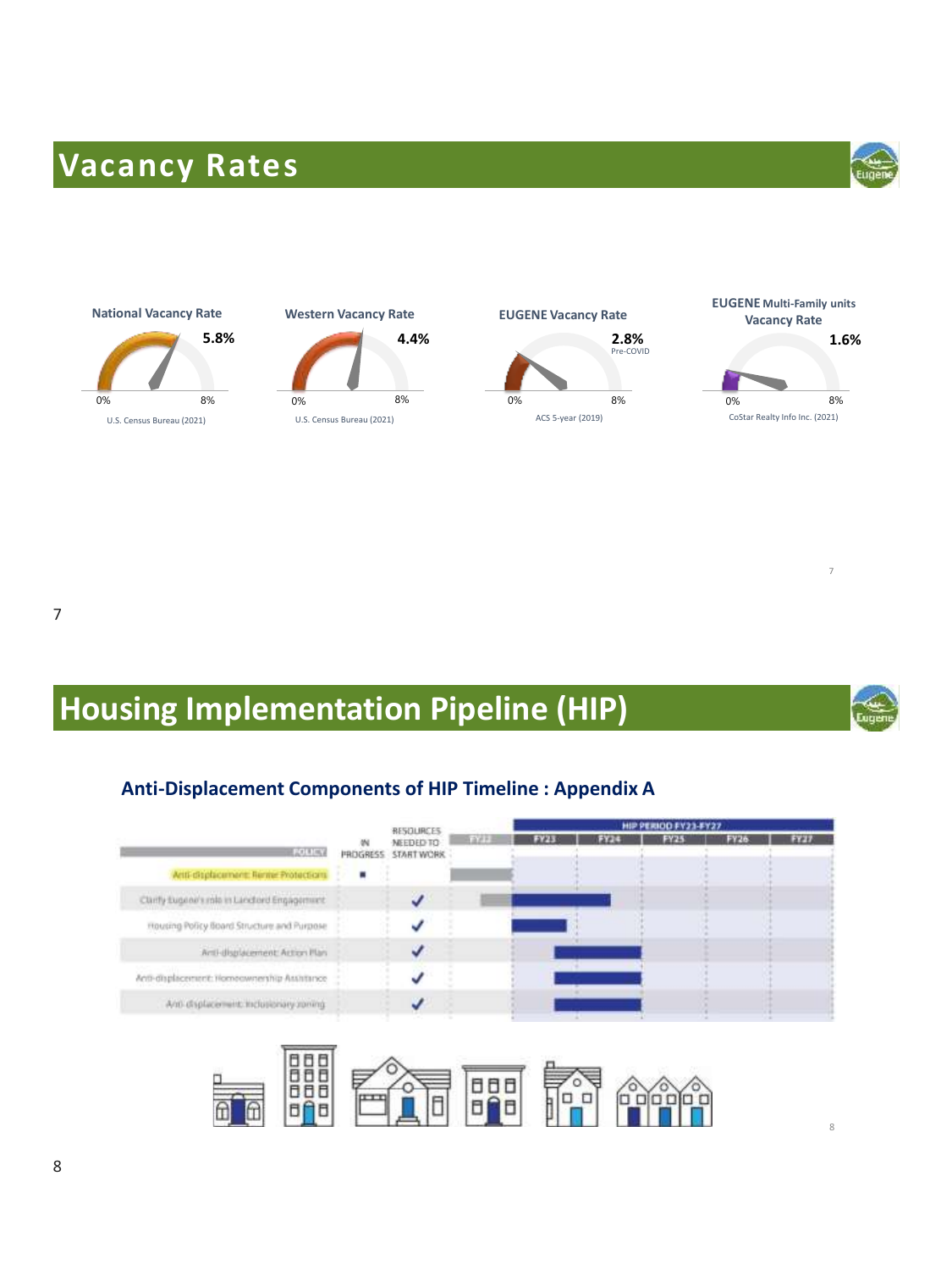# **Vacancy Rates**

![](_page_3_Picture_1.jpeg)

![](_page_3_Figure_2.jpeg)

![](_page_3_Figure_3.jpeg)

![](_page_3_Figure_4.jpeg)

![](_page_3_Picture_5.jpeg)

7

# **Housing Implementation Pipeline (HIP)**

![](_page_3_Picture_8.jpeg)

7

8

#### **Anti-Displacement Components of HIP Timeline : Appendix A**

|                                             |                      | <b>RESOURCES</b>        | HIP PERIOD FY23-FY27 |        |             |             |  |             |
|---------------------------------------------|----------------------|-------------------------|----------------------|--------|-------------|-------------|--|-------------|
| EXTREME                                     | <b>W</b><br>PROGRESS | NEEDED TO<br>START WORK | 2.71                 | 13,000 | <b>FY25</b> | <b>FY26</b> |  | <b>FYEL</b> |
| Anti-displacement: Renise Protections       | ٠                    |                         |                      |        |             |             |  |             |
| Cliefy Eugene's role in Landford Engagement |                      |                         |                      |        |             |             |  |             |
| Housing Policy Board Structure and Purpose  |                      |                         |                      |        |             |             |  |             |
| Anti-displacement: Action Plan              |                      |                         |                      |        |             |             |  |             |
| Anti-displacement: Homeownership Assistance |                      |                         |                      |        |             |             |  |             |
| Anti-displacement: Inclusionary spring      |                      |                         |                      |        |             |             |  |             |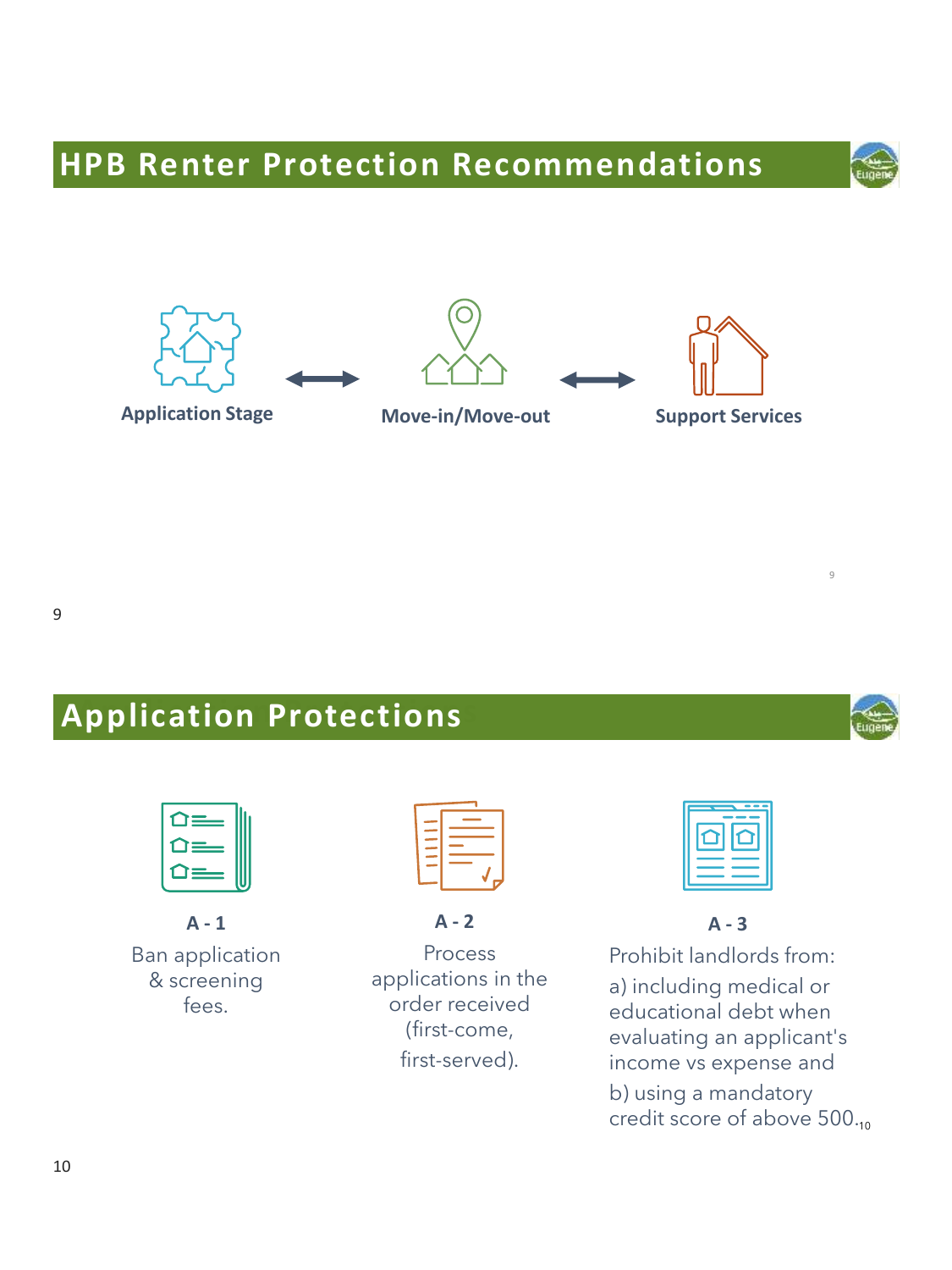# **HPB Renter Protection Recommendations**

![](_page_4_Figure_1.jpeg)

![](_page_4_Figure_2.jpeg)

![](_page_4_Figure_3.jpeg)

![](_page_4_Picture_4.jpeg)

# **Application Protections Application Protections**

![](_page_4_Picture_7.jpeg)

**A - 1** Ban application & screening fees.

**A - 2**

Process applications in the order received (first-come, first-served).

![](_page_4_Picture_12.jpeg)

**A - 3**

Prohibit landlords from: a) including medical or educational debt when evaluating an applicant's income vs expense and b) using a mandatory credit score of above 500.10

![](_page_4_Picture_15.jpeg)

9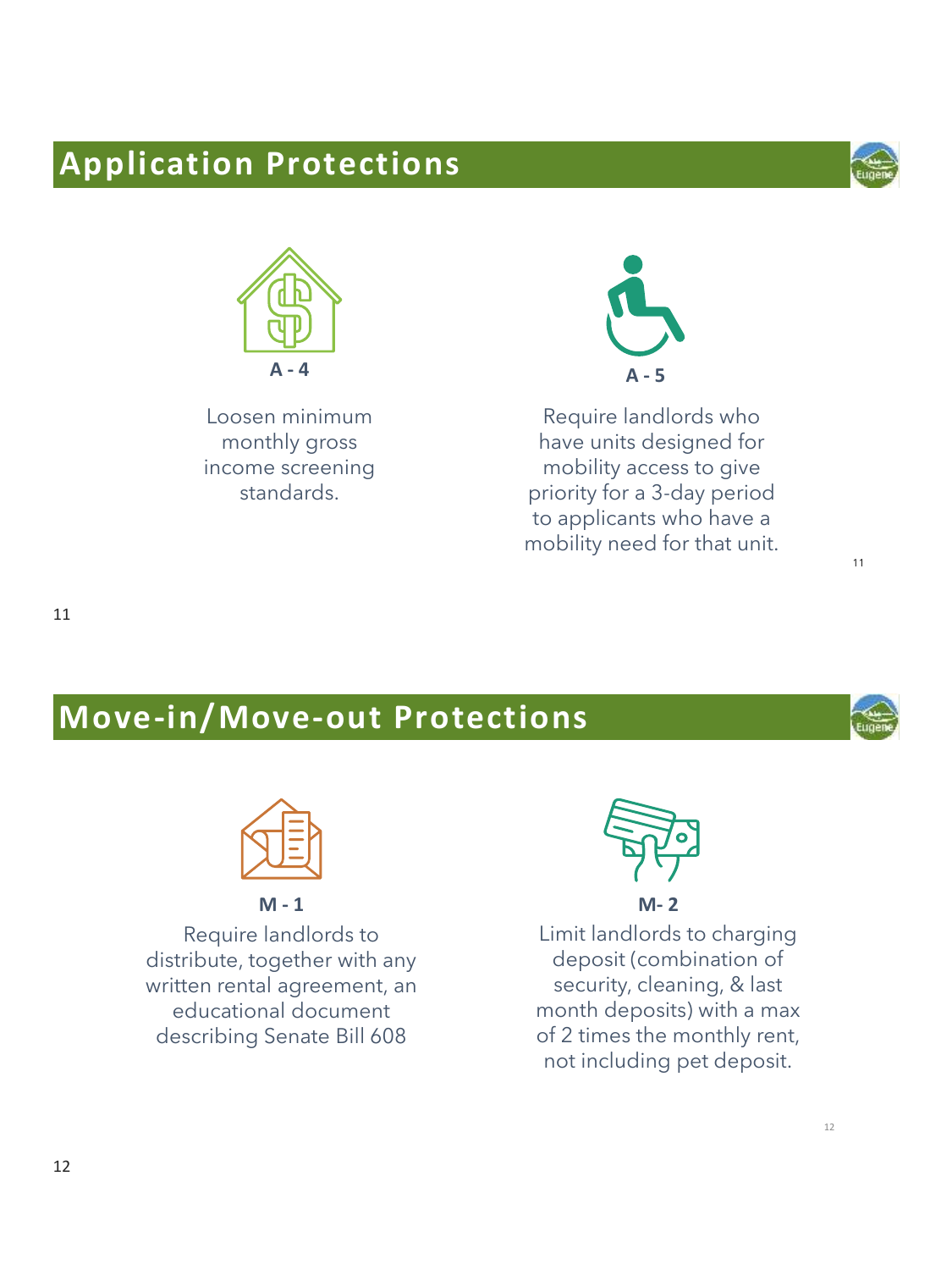# **Application Protections**

![](_page_5_Picture_1.jpeg)

11

![](_page_5_Picture_2.jpeg)

Loosen minimum monthly gross income screening standards.

![](_page_5_Picture_4.jpeg)

Require landlords who have units designed for mobility access to give priority for a 3-day period to applicants who have a mobility need for that unit.

## **Move-in/Move-out Protections**

![](_page_5_Picture_8.jpeg)

Require landlords to distribute, together with any written rental agreement, an educational document describing Senate Bill 608

![](_page_5_Picture_11.jpeg)

Limit landlords to charging deposit (combination of security, cleaning, & last month deposits) with a max of 2 times the monthly rent, not including pet deposit.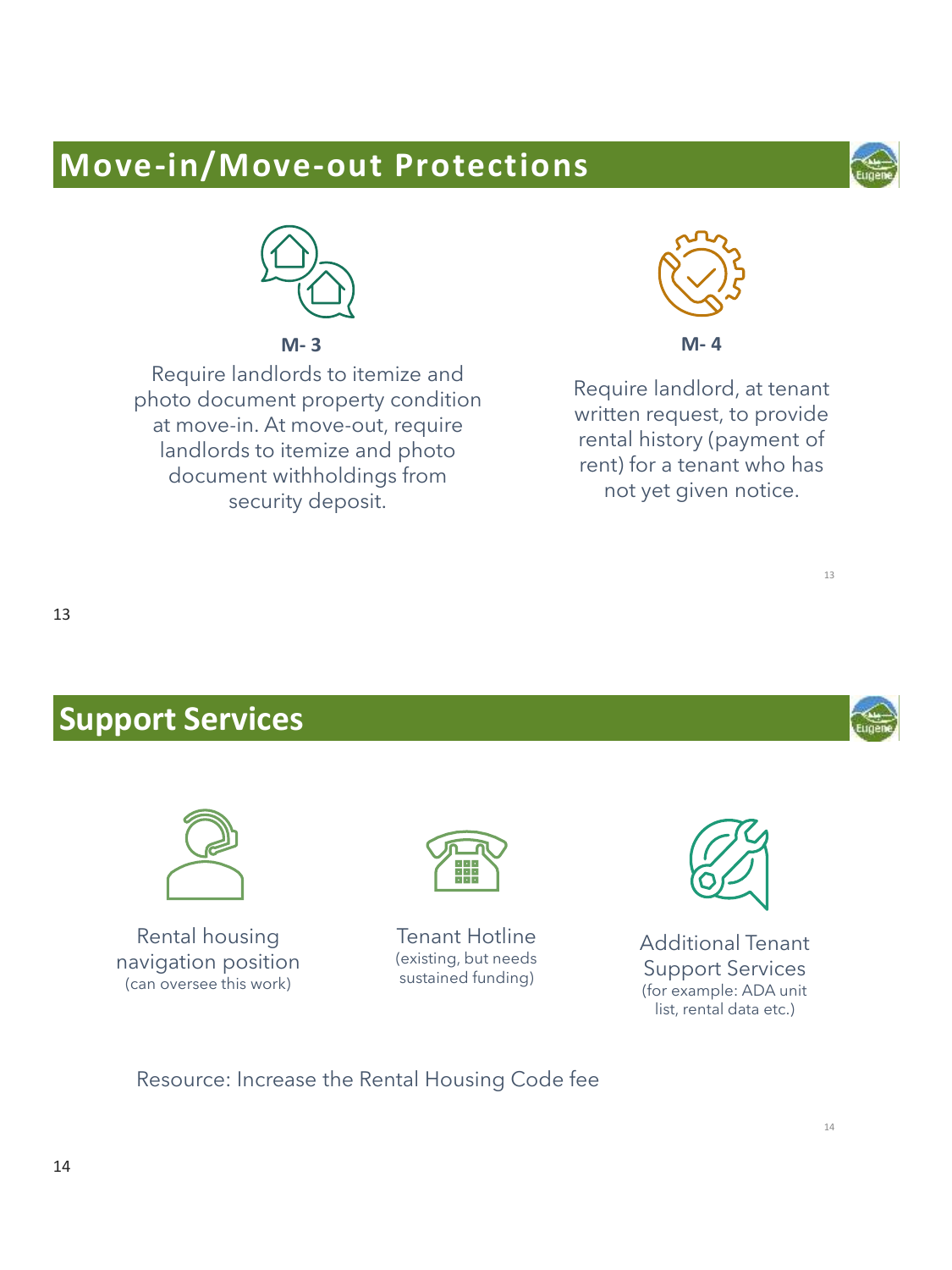## **Move-in/Move-out Protections**

![](_page_6_Picture_1.jpeg)

![](_page_6_Picture_2.jpeg)

**M- 3**

Require landlords to itemize and photo document property condition at move-in. At move-out, require landlords to itemize and photo document withholdings from security deposit.

![](_page_6_Picture_5.jpeg)

**M- 4**

Require landlord, at tenant written request, to provide rental history (payment of rent) for a tenant who has not yet given notice.

![](_page_6_Picture_9.jpeg)

### **Support Services**

![](_page_6_Picture_11.jpeg)

Rental housing navigation position (can oversee this work)

![](_page_6_Picture_13.jpeg)

Tenant Hotline (existing, but needs sustained funding)

![](_page_6_Picture_15.jpeg)

Additional Tenant Support Services (for example: ADA unit list, rental data etc.)

#### Resource: Increase the Rental Housing Code fee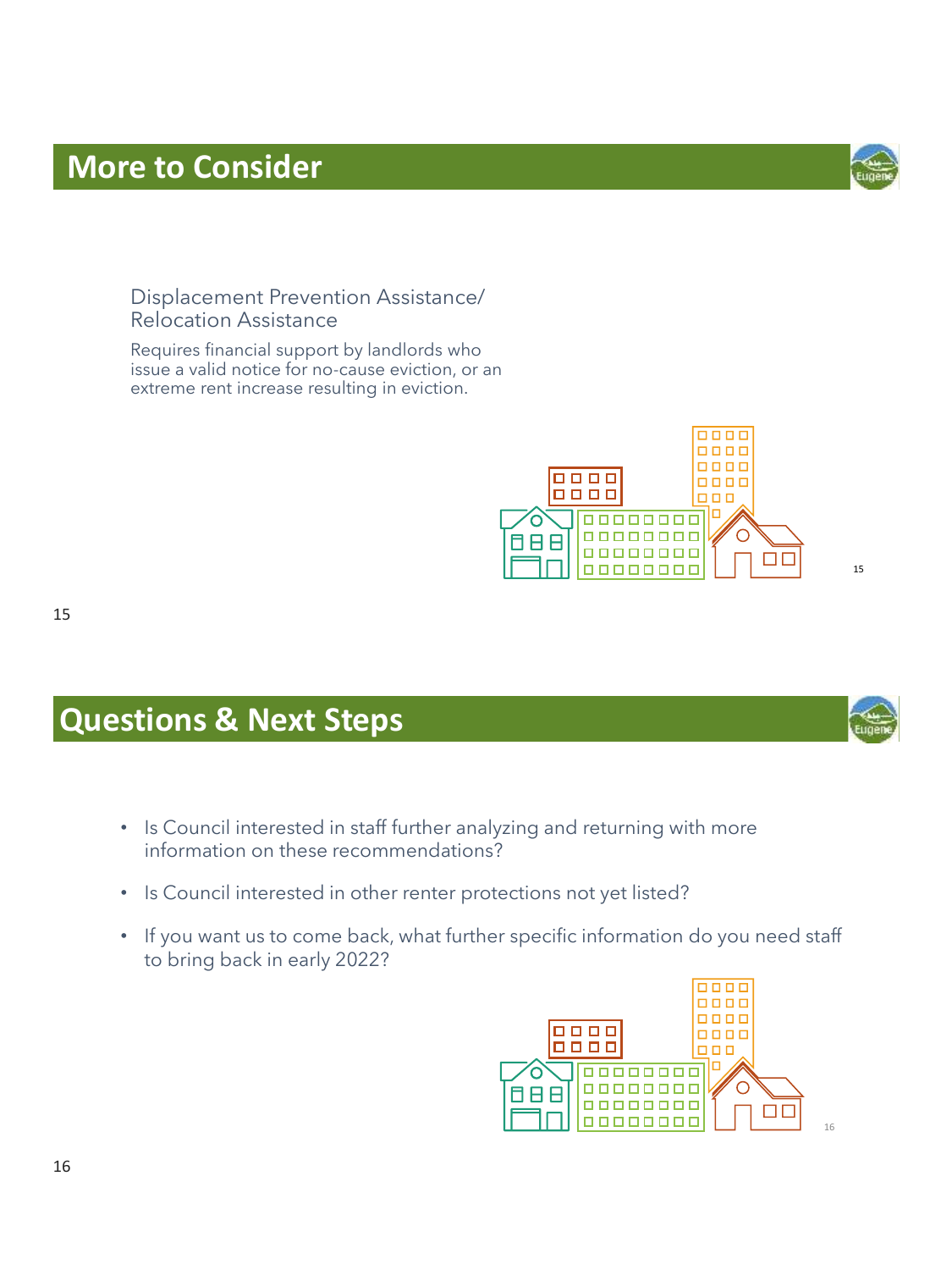#### Displacement Prevention Assistance/ Relocation Assistance

Requires financial support by landlords who issue a valid notice for no-cause eviction, or an extreme rent increase resulting in eviction.

![](_page_7_Picture_3.jpeg)

- Is Council interested in staff further analyzing and returning with more information on these recommendations?
- Is Council interested in other renter protections not yet listed?
- If you want us to come back, what further specific information do you need staff to bring back in early 2022?

15

![](_page_7_Picture_8.jpeg)

![](_page_7_Picture_9.jpeg)

![](_page_7_Picture_10.jpeg)

16

15

![](_page_7_Picture_11.jpeg)